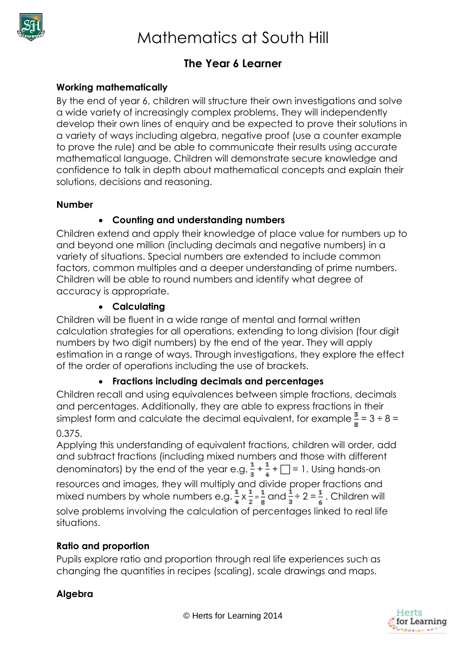

# **The Year 6 Learner**

## **Working mathematically**

By the end of year 6, children will structure their own investigations and solve a wide variety of increasingly complex problems. They will independently develop their own lines of enquiry and be expected to prove their solutions in a variety of ways including algebra, negative proof (use a counter example to prove the rule) and be able to communicate their results using accurate mathematical language. Children will demonstrate secure knowledge and confidence to talk in depth about mathematical concepts and explain their solutions, decisions and reasoning.

#### **Number**

## **Counting and understanding numbers**

Children extend and apply their knowledge of place value for numbers up to and beyond one million (including decimals and negative numbers) in a variety of situations. Special numbers are extended to include common factors, common multiples and a deeper understanding of prime numbers. Children will be able to round numbers and identify what degree of accuracy is appropriate.

## **Calculating**

Children will be fluent in a wide range of mental and formal written calculation strategies for all operations, extending to long division (four digit numbers by two digit numbers) by the end of the year. They will apply estimation in a range of ways. Through investigations, they explore the effect of the order of operations including the use of brackets.

## **Fractions including decimals and percentages**

Children recall and using equivalences between simple fractions, decimals and percentages. Additionally, they are able to express fractions in their simplest form and calculate the decimal equivalent, for example  $\frac{3}{8}$  = 3 ÷ 8 =

## 0.375.

Applying this understanding of equivalent fractions, children will order, add and subtract fractions (including mixed numbers and those with different denominators) by the end of the year e.g.  $\frac{1}{3} + \frac{1}{4} + \Box = 1$ . Using hands-on resources and images, they will multiply and divide proper fractions and mixed numbers by whole numbers e.g.  $\frac{1}{2} \times \frac{1}{2} = \frac{1}{2}$  and  $\frac{1}{2} \div 2 = \frac{1}{2}$ . Children will solve problems involving the calculation of percentages linked to real life situations.

## **Ratio and proportion**

Pupils explore ratio and proportion through real life experiences such as changing the quantities in recipes (scaling), scale drawings and maps.

## **Algebra**